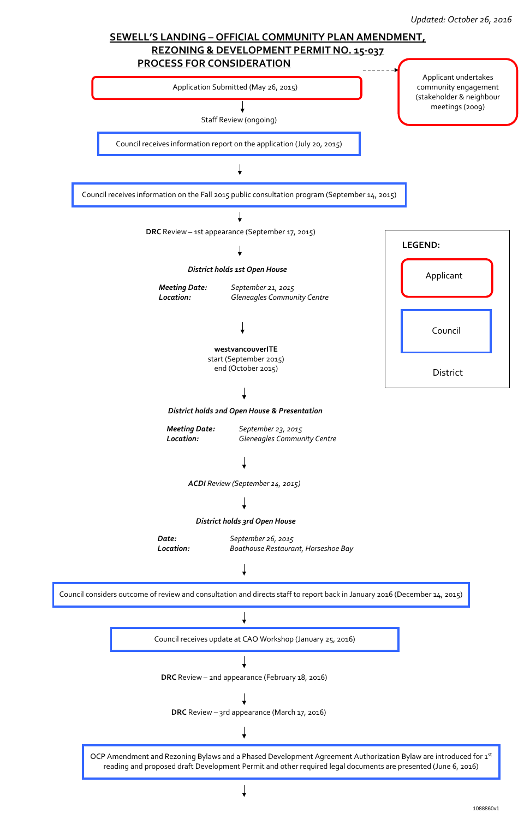OCP Amendment and Rezoning Bylaws and a Phased Development Agreement Authorization Bylaw are introduced for 1st reading and proposed draft Development Permit and other required legal documents are presented (June 6, 2016)





Council considers outcome of review and consultation and directs staff to report back in January 2016 (December 14, 2015)